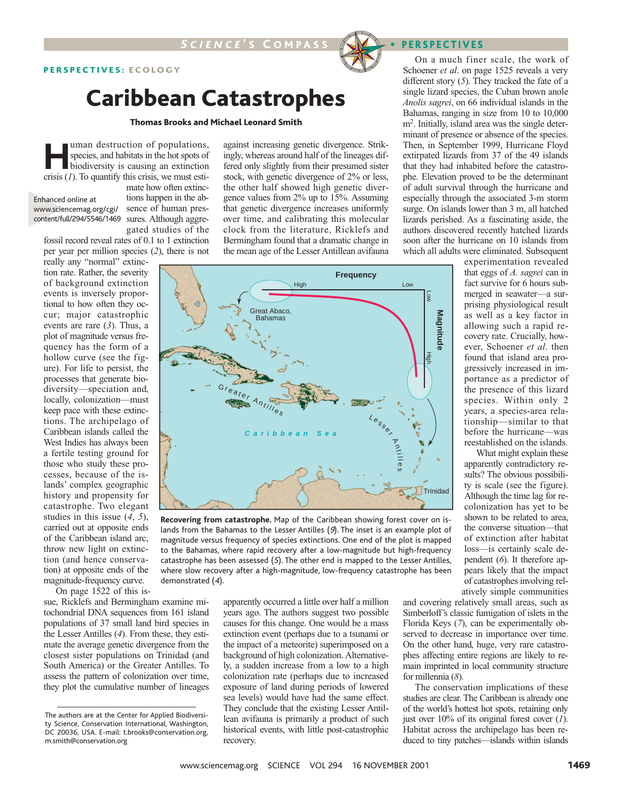## PERSPECTIVES: ECOLOGY

## Caribbean Catastrophes

### Thomas Brooks and Michael Leonard Smith

**Human destruction of populations,**<br>species, and habitats in the hot spots of<br>biodiversity is causing an extinction<br>crisis (1) To quantify this crisis we must estispecies, and habitats in the hot spots of biodiversity is causing an extinction crisis (*1*). To quantify this crisis, we must esti-

Enhanced online at www.sciencemag.org/cgi/

mate how often extinctions happen in the absence of human prescontent/full/294/5546/1469 sures. Although aggregated studies of the

fossil record reveal rates of 0.1 to 1 extinction per year per million species (*2*), there is not

really any "normal" extinction rate. Rather, the severity of background extinction events is inversely proportional to how often they occur; major catastrophic events are rare (*3*). Thus, a plot of magnitude versus frequency has the form of a hollow curve (see the figure). For life to persist, the processes that generate biodiversity—speciation and, locally, colonization—must keep pace with these extinctions. The archipelago of Caribbean islands called the West Indies has always been a fertile testing ground for those who study these processes, because of the islands' complex geographic history and propensity for catastrophe. Two elegant studies in this issue (*4*, *5*), carried out at opposite ends of the Caribbean island arc, throw new light on extinction (and hence conservation) at opposite ends of the magnitude-frequency curve.

On page 1522 of this is-

sue, Ricklefs and Bermingham examine mitochondrial DNA sequences from 161 island populations of 37 small land bird species in the Lesser Antilles (*4*). From these, they estimate the average genetic divergence from the closest sister populations on Trinidad (and South America) or the Greater Antilles. To assess the pattern of colonization over time, they plot the cumulative number of lineages against increasing genetic divergence. Strikingly, whereas around half of the lineages differed only slightly from their presumed sister stock, with genetic divergence of 2% or less, the other half showed high genetic divergence values from 2% up to 15%. Assuming that genetic divergence increases uniformly over time, and calibrating this molecular clock from the literature, Ricklefs and Bermingham found that a dramatic change in the mean age of the Lesser Antillean avifauna



**Recovering from catastrophe.** Map of the Caribbean showing forest cover on islands from the Bahamas to the Lesser Antilles (9). The inset is an example plot of magnitude versus frequency of species extinctions. One end of the plot is mapped to the Bahamas, where rapid recovery after a low-magnitude but high-frequency catastrophe has been assessed (5). The other end is mapped to the Lesser Antilles, where slow recovery after a high-magnitude, low-frequency catastrophe has been demonstrated (4).

apparently occurred a little over half a million years ago. The authors suggest two possible causes for this change. One would be a mass extinction event (perhaps due to a tsunami or the impact of a meteorite) superimposed on a background of high colonization. Alternatively, a sudden increase from a low to a high colonization rate (perhaps due to increased exposure of land during periods of lowered sea levels) would have had the same effect. They conclude that the existing Lesser Antillean avifauna is primarily a product of such historical events, with little post-catastrophic recovery.

On a much finer scale, the work of Schoener *et al*. on page 1525 reveals a very different story (*5*). They tracked the fate of a single lizard species, the Cuban brown anole *Anolis sagrei*, on 66 individual islands in the Bahamas, ranging in size from 10 to 10,000 m2 . Initially, island area was the single determinant of presence or absence of the species. Then, in September 1999, Hurricane Floyd extirpated lizards from 37 of the 49 islands that they had inhabited before the catastrophe. Elevation proved to be the determinant of adult survival through the hurricane and especially through the associated 3-m storm surge. On islands lower than 3 m, all hatched lizards perished. As a fascinating aside, the authors discovered recently hatched lizards soon after the hurricane on 10 islands from which all adults were eliminated. Subsequent

> experimentation revealed that eggs of *A. sagrei* can in fact survive for 6 hours submerged in seawater—a surprising physiological result as well as a key factor in allowing such a rapid recovery rate. Crucially, however, Schoener *et al*. then found that island area progressively increased in importance as a predictor of the presence of this lizard species. Within only 2 years, a species-area relationship—similar to that before the hurricane—was reestablished on the islands.

What might explain these apparently contradictory results? The obvious possibility is scale (see the figure). Although the time lag for recolonization has yet to be shown to be related to area, the converse situation—that of extinction after habitat loss—is certainly scale dependent (*6*). It therefore appears likely that the impact of catastrophes involving relatively simple communities

and covering relatively small areas, such as Simberloff's classic fumigation of islets in the Florida Keys (*7*), can be experimentally observed to decrease in importance over time. On the other hand, huge, very rare catastrophes affecting entire regions are likely to remain imprinted in local community structure for millennia (*8*).

The conservation implications of these studies are clear. The Caribbean is already one of the world's hottest hot spots, retaining only just over 10% of its original forest cover (*1*). Habitat across the archipelago has been reduced to tiny patches—islands within islands

The authors are at the Center for Applied Biodiversity Science, Conservation International, Washington, DC 20036, USA. E-mail: t.brooks@conservation.org, m.smith@conservation.org